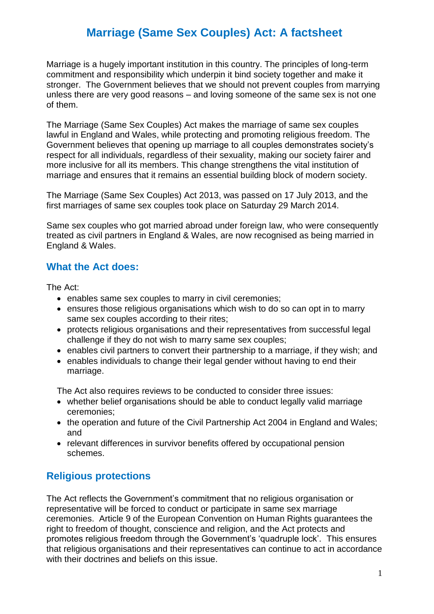# **Marriage (Same Sex Couples) Act: A factsheet**

Marriage is a hugely important institution in this country. The principles of long-term commitment and responsibility which underpin it bind society together and make it stronger. The Government believes that we should not prevent couples from marrying unless there are very good reasons – and loving someone of the same sex is not one of them.

The Marriage (Same Sex Couples) Act makes the marriage of same sex couples lawful in England and Wales, while protecting and promoting religious freedom. The Government believes that opening up marriage to all couples demonstrates society's respect for all individuals, regardless of their sexuality, making our society fairer and more inclusive for all its members. This change strengthens the vital institution of marriage and ensures that it remains an essential building block of modern society.

The Marriage (Same Sex Couples) Act 2013, was passed on 17 July 2013, and the first marriages of same sex couples took place on Saturday 29 March 2014.

Same sex couples who got married abroad under foreign law, who were consequently treated as civil partners in England & Wales, are now recognised as being married in England & Wales.

### **What the Act does:**

The Act:

- enables same sex couples to marry in civil ceremonies;
- ensures those religious organisations which wish to do so can opt in to marry same sex couples according to their rites;
- protects religious organisations and their representatives from successful legal challenge if they do not wish to marry same sex couples;
- enables civil partners to convert their partnership to a marriage, if they wish; and
- enables individuals to change their legal gender without having to end their marriage.

The Act also requires reviews to be conducted to consider three issues:

- whether belief organisations should be able to conduct legally valid marriage ceremonies;
- the operation and future of the Civil Partnership Act 2004 in England and Wales: and
- relevant differences in survivor benefits offered by occupational pension schemes.

# **Religious protections**

The Act reflects the Government's commitment that no religious organisation or representative will be forced to conduct or participate in same sex marriage ceremonies. Article 9 of the European Convention on Human Rights guarantees the right to freedom of thought, conscience and religion, and the Act protects and promotes religious freedom through the Government's 'quadruple lock'. This ensures that religious organisations and their representatives can continue to act in accordance with their doctrines and beliefs on this issue.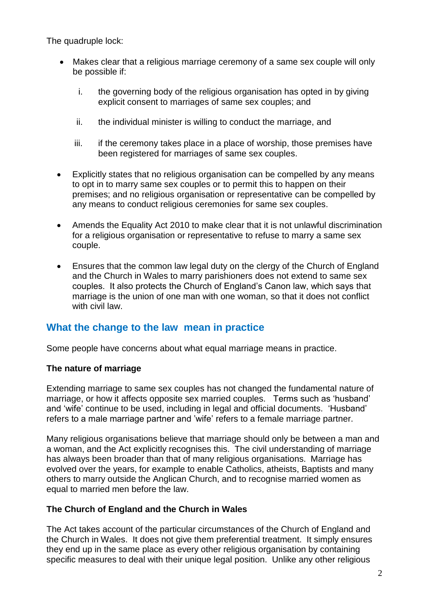The quadruple lock:

- Makes clear that a religious marriage ceremony of a same sex couple will only be possible if:
	- i. the governing body of the religious organisation has opted in by giving explicit consent to marriages of same sex couples; and
	- ii. the individual minister is willing to conduct the marriage, and
	- iii. if the ceremony takes place in a place of worship, those premises have been registered for marriages of same sex couples.
- Explicitly states that no religious organisation can be compelled by any means to opt in to marry same sex couples or to permit this to happen on their premises; and no religious organisation or representative can be compelled by any means to conduct religious ceremonies for same sex couples.
- Amends the Equality Act 2010 to make clear that it is not unlawful discrimination for a religious organisation or representative to refuse to marry a same sex couple.
- Ensures that the common law legal duty on the clergy of the Church of England and the Church in Wales to marry parishioners does not extend to same sex couples. It also protects the Church of England's Canon law, which says that marriage is the union of one man with one woman, so that it does not conflict with civil law.

# **What the change to the law mean in practice**

Some people have concerns about what equal marriage means in practice.

#### **The nature of marriage**

Extending marriage to same sex couples has not changed the fundamental nature of marriage, or how it affects opposite sex married couples. Terms such as 'husband' and 'wife' continue to be used, including in legal and official documents. 'Husband' refers to a male marriage partner and 'wife' refers to a female marriage partner.

Many religious organisations believe that marriage should only be between a man and a woman, and the Act explicitly recognises this. The civil understanding of marriage has always been broader than that of many religious organisations. Marriage has evolved over the years, for example to enable Catholics, atheists, Baptists and many others to marry outside the Anglican Church, and to recognise married women as equal to married men before the law.

#### **The Church of England and the Church in Wales**

The Act takes account of the particular circumstances of the Church of England and the Church in Wales. It does not give them preferential treatment. It simply ensures they end up in the same place as every other religious organisation by containing specific measures to deal with their unique legal position. Unlike any other religious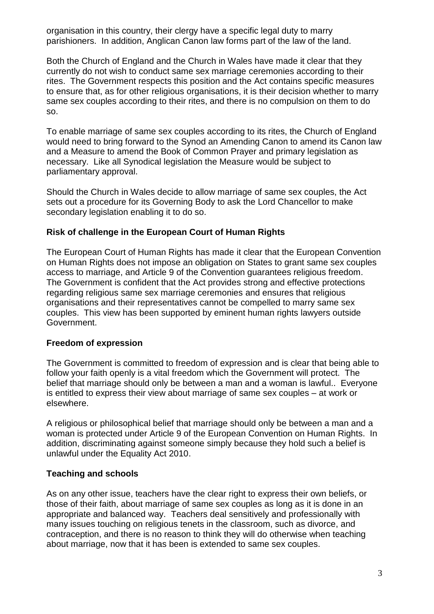organisation in this country, their clergy have a specific legal duty to marry parishioners. In addition, Anglican Canon law forms part of the law of the land.

Both the Church of England and the Church in Wales have made it clear that they currently do not wish to conduct same sex marriage ceremonies according to their rites. The Government respects this position and the Act contains specific measures to ensure that, as for other religious organisations, it is their decision whether to marry same sex couples according to their rites, and there is no compulsion on them to do so.

To enable marriage of same sex couples according to its rites, the Church of England would need to bring forward to the Synod an Amending Canon to amend its Canon law and a Measure to amend the Book of Common Prayer and primary legislation as necessary. Like all Synodical legislation the Measure would be subject to parliamentary approval.

Should the Church in Wales decide to allow marriage of same sex couples, the Act sets out a procedure for its Governing Body to ask the Lord Chancellor to make secondary legislation enabling it to do so.

#### **Risk of challenge in the European Court of Human Rights**

The European Court of Human Rights has made it clear that the European Convention on Human Rights does not impose an obligation on States to grant same sex couples access to marriage, and Article 9 of the Convention guarantees religious freedom. The Government is confident that the Act provides strong and effective protections regarding religious same sex marriage ceremonies and ensures that religious organisations and their representatives cannot be compelled to marry same sex couples. This view has been supported by eminent human rights lawyers outside Government.

#### **Freedom of expression**

The Government is committed to freedom of expression and is clear that being able to follow your faith openly is a vital freedom which the Government will protect. The belief that marriage should only be between a man and a woman is lawful.. Everyone is entitled to express their view about marriage of same sex couples – at work or elsewhere.

A religious or philosophical belief that marriage should only be between a man and a woman is protected under Article 9 of the European Convention on Human Rights. In addition, discriminating against someone simply because they hold such a belief is unlawful under the Equality Act 2010.

#### **Teaching and schools**

As on any other issue, teachers have the clear right to express their own beliefs, or those of their faith, about marriage of same sex couples as long as it is done in an appropriate and balanced way. Teachers deal sensitively and professionally with many issues touching on religious tenets in the classroom, such as divorce, and contraception, and there is no reason to think they will do otherwise when teaching about marriage, now that it has been is extended to same sex couples.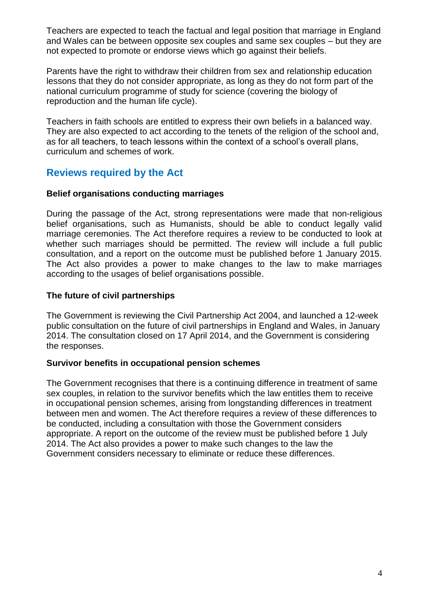Teachers are expected to teach the factual and legal position that marriage in England and Wales can be between opposite sex couples and same sex couples – but they are not expected to promote or endorse views which go against their beliefs.

Parents have the right to withdraw their children from sex and relationship education lessons that they do not consider appropriate, as long as they do not form part of the national curriculum programme of study for science (covering the biology of reproduction and the human life cycle).

Teachers in faith schools are entitled to express their own beliefs in a balanced way. They are also expected to act according to the tenets of the religion of the school and, as for all teachers, to teach lessons within the context of a school's overall plans, curriculum and schemes of work.

### **Reviews required by the Act**

#### **Belief organisations conducting marriages**

During the passage of the Act, strong representations were made that non-religious belief organisations, such as Humanists, should be able to conduct legally valid marriage ceremonies. The Act therefore requires a review to be conducted to look at whether such marriages should be permitted. The review will include a full public consultation, and a report on the outcome must be published before 1 January 2015. The Act also provides a power to make changes to the law to make marriages according to the usages of belief organisations possible.

#### **The future of civil partnerships**

The Government is reviewing the Civil Partnership Act 2004, and launched a 12-week public consultation on the future of civil partnerships in England and Wales, in January 2014. The consultation closed on 17 April 2014, and the Government is considering the responses.

#### **Survivor benefits in occupational pension schemes**

The Government recognises that there is a continuing difference in treatment of same sex couples, in relation to the survivor benefits which the law entitles them to receive in occupational pension schemes, arising from longstanding differences in treatment between men and women. The Act therefore requires a review of these differences to be conducted, including a consultation with those the Government considers appropriate. A report on the outcome of the review must be published before 1 July 2014. The Act also provides a power to make such changes to the law the Government considers necessary to eliminate or reduce these differences.